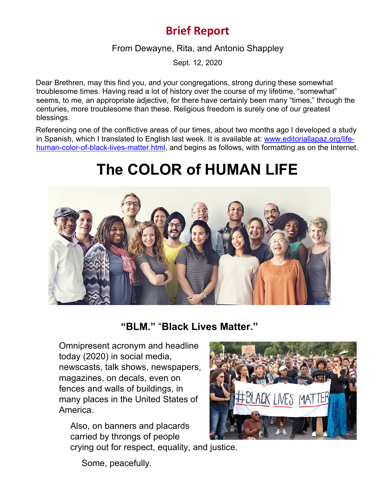## **Brief Report**

From Dewayne, Rita, and Antonio Shappley

Sept. 12, 2020

Dear Brethren, may this find you, and your congregations, strong during these somewhat troublesome times. Having read a lot of history over the course of my lifetime, "somewhat" seems, to me, an appropriate adjective, for there have certainly been many "times," through the centuries, more troublesome than these. Religious freedom is surely one of our greatest blessings.

Referencing one of the conflictive areas of our times, about two months ago I developed a study in Spanish, which I translated to English last week. It is available at: [www.editoriallapaz.org/life](http://www.editoriallapaz.org/life-human-color-of-black-lives-matter.html)[human-color-of-black-lives-matter.html,](http://www.editoriallapaz.org/life-human-color-of-black-lives-matter.html) and begins as follows, with formatting as on the Internet.

## **The COLOR of HUMAN LIFE**



**"BLM."** "**Black Lives Matter."**

Omnipresent acronym and headline today (2020) in social media, newscasts, talk shows, newspapers, magazines, on decals, even on fences and walls of buildings, in many places in the United States of America.

Also, on banners and placards carried by throngs of people crying out for respect, equality, and justice.



Some, peacefully.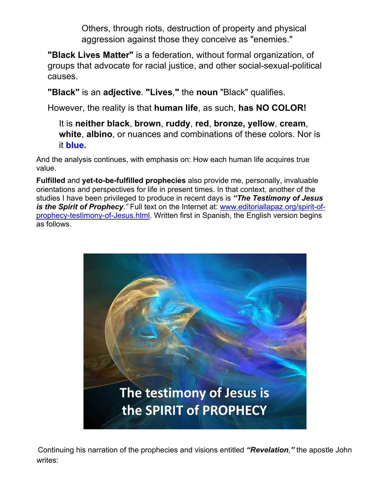Others, through riots, destruction of property and physical aggression against those they conceive as "enemies."

**"Black Lives Matter"** is a federation, without formal organization, of groups that advocate for racial justice, and other social-sexual-political causes.

**"Black"** is an **adjective**. **"Lives***,***"** the **noun** "Black" qualifies.

However, the reality is that **human life**, as such, **has NO COLOR!**

It is **neither black**, **brown**, **ruddy**, **red**, **bronze, yellow**, **cream**, **white**, **albino**, or nuances and combinations of these colors. Nor is it **blue.**

And the analysis continues, with emphasis on: How each human life acquires true value.

**Fulfilled** and **yet-to-be-fulfilled prophecies** also provide me, personally, invaluable orientations and perspectives for life in present times. In that context, another of the studies I have been privileged to produce in recent days is *"The Testimony of Jesus is the Spirit of Prophecy.*" Full text on the Internet at: [www.editoriallapaz.org/spirit-of](http://www.editoriallapaz.org/spirit-of-prophecy-testimony-of-Jesus.html)[prophecy-testimony-of-Jesus.html.](http://www.editoriallapaz.org/spirit-of-prophecy-testimony-of-Jesus.html) Written first in Spanish, the English version begins as follows.



Continuing his narration of the prophecies and visions entitled *"Revelation,"* the apostle John writes: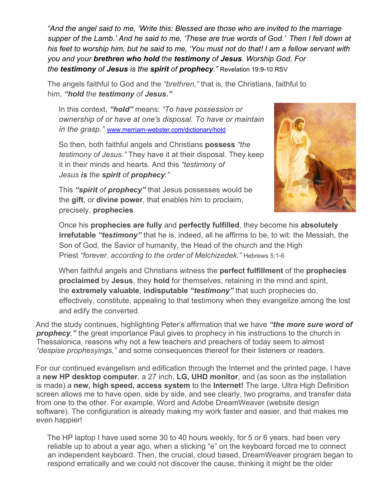*"And the angel said to me, 'Write this: Blessed are those who are invited to the marriage supper of the Lamb.' And he said to me, 'These are true words of God.' Then I fell down at his feet to worship him, but he said to me, 'You must not do that! I am a fellow servant with you and your brethren who hold the testimony of Jesus. Worship God. For the testimony of Jesus is the spirit of prophecy."* Revelation 19:9-10 RSV

The angels faithful to God and the *"brethren,"* that is, the Christians, faithful to him, *"hold the testimony of Jesus."*

In this context, *"hold"* means: *"To have possession or ownership of or have at one's disposal. To have or maintain in the grasp."* [www.merriam-webster.com/dictionary/hold](http://www.merriam-webster.com/dictionary/hold)

So then, both faithful angels and Christians **possess** *"the testimony of Jesus."* They have it at their disposal. They keep it in their minds and hearts. And this *"testimony of Jesus is the spirit of prophecy."*



This *"spirit of prophecy"* that Jesus possesses would be the **gift**, or **divine power**, that enables him to proclaim, precisely, **prophecies**.

Once his **prophecies are fully** and **perfectly fulfilled**, they become his **absolutely irrefutable** *"testimony"* that he is, indeed, all he affirms to be, to wit: the Messiah, the Son of God, the Savior of humanity, the Head of the church and the High Priest *"forever, according to the order of Melchizedek."* Hebrews 5:1-6

When faithful angels and Christians witness the **perfect fulfillment** of the **prophecies proclaimed** by **Jesus**, they **hold** for themselves, retaining in the mind and spirit, the **extremely valuable**, **indisputable** *"testimony"* that such prophecies do, effectively, constitute, appealing to that testimony when they evangelize among the lost and edify the converted.

And the study continues, highlighting Peter's affirmation that we have *"the more sure word of prophecy,"* the great importance Paul gives to prophecy in his instructions to the church in Thessalonica, reasons why not a few teachers and preachers of today seem to almost *"despise prophesyings,"* and some consequences thereof for their listeners or readers.

For our continued evangelism and edification through the Internet and the printed page, I have a **new HP desktop computer**, a 27 inch, **LG, UHD monitor**, and (as soon as the installation is made) a **new, high speed, access system** to the **Internet!** The large, Ultra High Definition screen allows me to have open, side by side, and see clearly, two programs, and transfer data from one to the other. For example, Word and Adobe DreamWeaver (website design software). The configuration is already making my work faster and easier, and that makes me even happier!

The HP laptop I have used some 30 to 40 hours weekly, for 5 or 6 years, had been very reliable up to about a year ago, when a sticking "e" on the keyboard forced me to connect an independent keyboard. Then, the crucial, cloud based, DreamWeaver program began to respond erratically and we could not discover the cause, thinking it might be the older